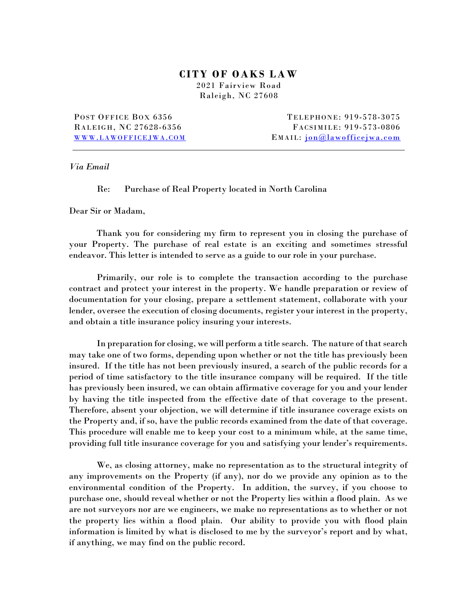## **CITY O F OAKS LAW**

2021 Fairview Road Raleigh, NC 27608

POST OFFICE BOX 6356 RALEIGH, NC 27628-6356 WWW.LAWOFFICEJWA.COM

TELEPHONE: 919-578-3075 FACSIMILE: 919-573-0806 EMAIL: jon@lawofficejwa.com

*Via Email*

Re: Purchase of Real Property located in North Carolina

Dear Sir or Madam,

 Thank you for considering my firm to represent you in closing the purchase of your Property. The purchase of real estate is an exciting and sometimes stressful endeavor. This letter is intended to serve as a guide to our role in your purchase.

Primarily, our role is to complete the transaction according to the purchase contract and protect your interest in the property. We handle preparation or review of documentation for your closing, prepare a settlement statement, collaborate with your lender, oversee the execution of closing documents, register your interest in the property, and obtain a title insurance policy insuring your interests.

In preparation for closing, we will perform a title search. The nature of that search may take one of two forms, depending upon whether or not the title has previously been insured. If the title has not been previously insured, a search of the public records for a period of time satisfactory to the title insurance company will be required. If the title has previously been insured, we can obtain affirmative coverage for you and your lender by having the title inspected from the effective date of that coverage to the present. Therefore, absent your objection, we will determine if title insurance coverage exists on the Property and, if so, have the public records examined from the date of that coverage. This procedure will enable me to keep your cost to a minimum while, at the same time, providing full title insurance coverage for you and satisfying your lender's requirements.

We, as closing attorney, make no representation as to the structural integrity of any improvements on the Property (if any), nor do we provide any opinion as to the environmental condition of the Property. In addition, the survey, if you choose to purchase one, should reveal whether or not the Property lies within a flood plain. As we are not surveyors nor are we engineers, we make no representations as to whether or not the property lies within a flood plain. Our ability to provide you with flood plain information is limited by what is disclosed to me by the surveyor's report and by what, if anything, we may find on the public record.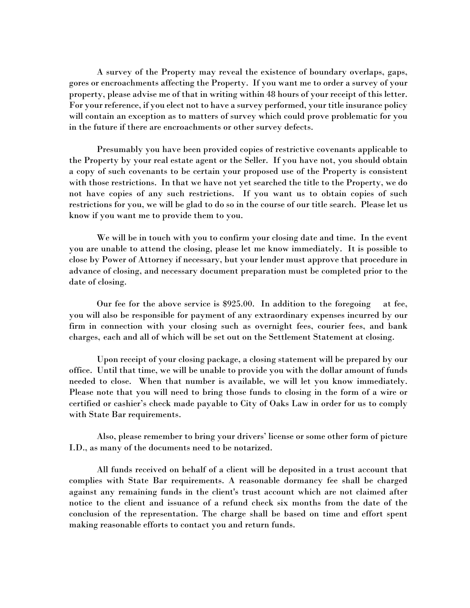A survey of the Property may reveal the existence of boundary overlaps, gaps, gores or encroachments affecting the Property. If you want me to order a survey of your property, please advise me of that in writing within 48 hours of your receipt of this letter. For your reference, if you elect not to have a survey performed, your title insurance policy will contain an exception as to matters of survey which could prove problematic for you in the future if there are encroachments or other survey defects.

Presumably you have been provided copies of restrictive covenants applicable to the Property by your real estate agent or the Seller. If you have not, you should obtain a copy of such covenants to be certain your proposed use of the Property is consistent with those restrictions. In that we have not yet searched the title to the Property, we do not have copies of any such restrictions. If you want us to obtain copies of such restrictions for you, we will be glad to do so in the course of our title search. Please let us know if you want me to provide them to you.

We will be in touch with you to confirm your closing date and time. In the event you are unable to attend the closing, please let me know immediately. It is possible to close by Power of Attorney if necessary, but your lender must approve that procedure in advance of closing, and necessary document preparation must be completed prior to the date of closing.

Our fee for the above service is \$925.00. In addition to the foregoing at fee, you will also be responsible for payment of any extraordinary expenses incurred by our firm in connection with your closing such as overnight fees, courier fees, and bank charges, each and all of which will be set out on the Settlement Statement at closing.

Upon receipt of your closing package, a closing statement will be prepared by our office. Until that time, we will be unable to provide you with the dollar amount of funds needed to close. When that number is available, we will let you know immediately. Please note that you will need to bring those funds to closing in the form of a wire or certified or cashier's check made payable to City of Oaks Law in order for us to comply with State Bar requirements.

Also, please remember to bring your drivers' license or some other form of picture I.D., as many of the documents need to be notarized.

All funds received on behalf of a client will be deposited in a trust account that complies with State Bar requirements. A reasonable dormancy fee shall be charged against any remaining funds in the client's trust account which are not claimed after notice to the client and issuance of a refund check six months from the date of the conclusion of the representation. The charge shall be based on time and effort spent making reasonable efforts to contact you and return funds.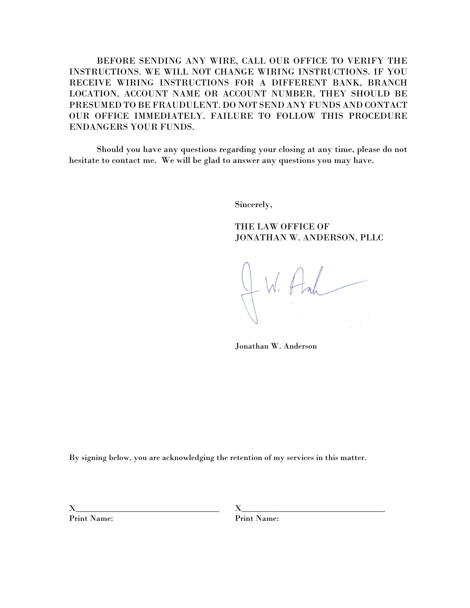BEFORE SENDING ANY WIRE, CALL OUR OFFICE TO VERIFY THE INSTRUCTIONS. WE WILL NOT CHANGE WIRING INSTRUCTIONS. IF YOU RECEIVE WIRING INSTRUCTIONS FOR A DIFFERENT BANK, BRANCH LOCATION, ACCOUNT NAME OR ACCOUNT NUMBER, THEY SHOULD BE PRESUMED TO BE FRAUDULENT. DO NOT SEND ANY FUNDS AND CONTACT OUR OFFICE IMMEDIATELY. FAILURE TO FOLLOW THIS PROCEDURE ENDANGERS YOUR FUNDS.

Should you have any questions regarding your closing at any time, please do not hesitate to contact me. We will be glad to answer any questions you may have.

Sincerely,

THE LAW OFFICE OF JONATHAN W. ANDERSON, PLLC

W. Hah

Jonathan W. Anderson

By signing below, you are acknowledging the retention of my services in this matter.

Print Name: Print Name:

 $X$  and  $X$  and  $X$  and  $X$  and  $X$